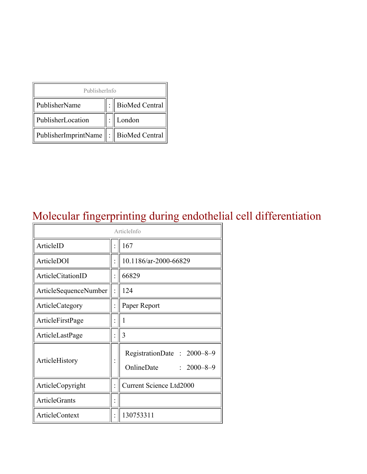| PublisherInfo                         |  |                    |  |  |
|---------------------------------------|--|--------------------|--|--|
| PublisherName                         |  | :   BioMed Central |  |  |
| PublisherLocation                     |  | London             |  |  |
| PublisherImprintName : BioMed Central |  |                    |  |  |

### Molecular fingerprinting during endothelial cell differentiation

| ArticleInfo                  |                      |                                                    |  |
|------------------------------|----------------------|----------------------------------------------------|--|
| ArticleID                    |                      | 167                                                |  |
| ArticleDOI                   |                      | 10.1186/ar-2000-66829                              |  |
| ArticleCitationID            |                      | 66829                                              |  |
| <b>ArticleSequenceNumber</b> |                      | 124                                                |  |
| ArticleCategory              | $\ddot{\cdot}$       | Paper Report                                       |  |
| ArticleFirstPage             |                      | 1                                                  |  |
| ArticleLastPage              | $\ddot{\cdot}$       | 3                                                  |  |
| ArticleHistory               |                      | RegistrationDate: 2000-8-9<br>OnlineDate: 2000-8-9 |  |
| ArticleCopyright             | $\ddot{\phantom{0}}$ | <b>Current Science Ltd2000</b>                     |  |
| <b>ArticleGrants</b>         |                      |                                                    |  |
| <b>ArticleContext</b>        |                      | 130753311                                          |  |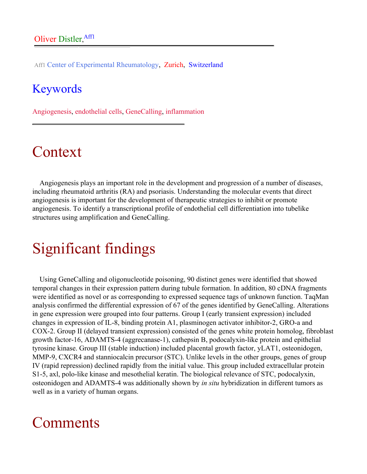Aff1 Center of Experimental Rheumatology, Zurich, Switzerland

#### Keywords

Angiogenesis, endothelial cells, GeneCalling, inflammation

## Context

Angiogenesis plays an important role in the development and progression of a number of diseases, including rheumatoid arthritis (RA) and psoriasis. Understanding the molecular events that direct angiogenesis is important for the development of therapeutic strategies to inhibit or promote angiogenesis. To identify a transcriptional profile of endothelial cell differentiation into tubelike structures using amplification and GeneCalling.

# Significant findings

Using GeneCalling and oligonucleotide poisoning, 90 distinct genes were identified that showed temporal changes in their expression pattern during tubule formation. In addition, 80 cDNA fragments were identified as novel or as corresponding to expressed sequence tags of unknown function. TaqMan analysis confirmed the differential expression of 67 of the genes identified by GeneCalling. Alterations in gene expression were grouped into four patterns. Group I (early transient expression) included changes in expression of IL-8, binding protein A1, plasminogen activator inhibitor-2, GRO-a and COX-2. Group II (delayed transient expression) consisted of the genes white protein homolog, fibroblast growth factor-16, ADAMTS-4 (aggrecanase-1), cathepsin B, podocalyxin-like protein and epithelial tyrosine kinase. Group III (stable induction) included placental growth factor, yLAT1, osteonidogen, MMP-9, CXCR4 and stanniocalcin precursor (STC). Unlike levels in the other groups, genes of group IV (rapid repression) declined rapidly from the initial value. This group included extracellular protein S1-5, axl, polo-like kinase and mesothelial keratin. The biological relevance of STC, podocalyxin, osteonidogen and ADAMTS-4 was additionally shown by *in situ* hybridization in different tumors as well as in a variety of human organs.

#### **Comments**